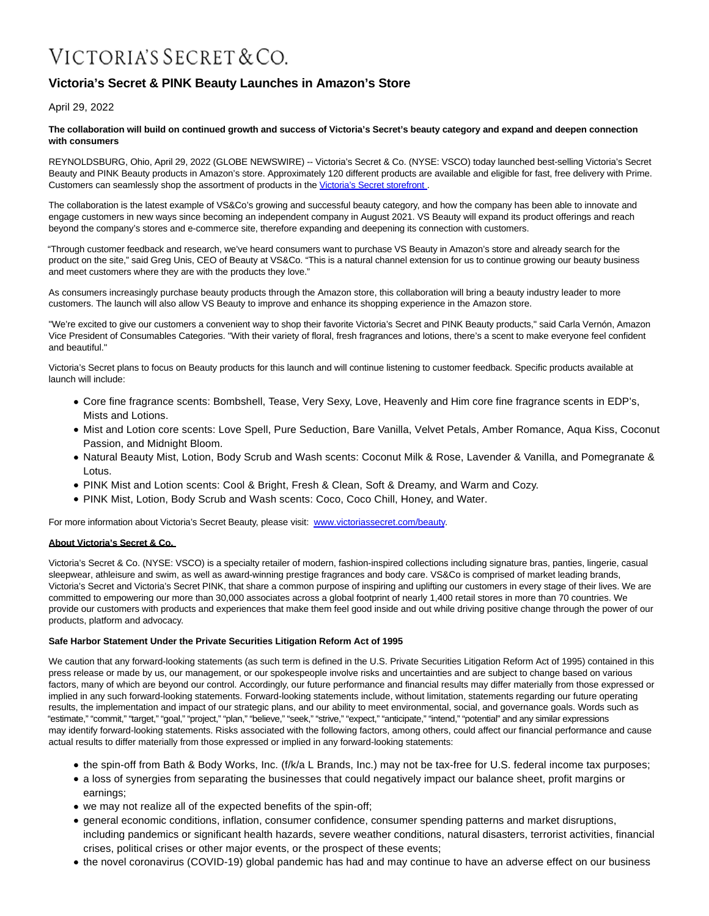# VICTORIA'S SECRET & CO.

## **Victoria's Secret & PINK Beauty Launches in Amazon's Store**

April 29, 2022

#### **The collaboration will build on continued growth and success of Victoria's Secret's beauty category and expand and deepen connection with consumers**

REYNOLDSBURG, Ohio, April 29, 2022 (GLOBE NEWSWIRE) -- Victoria's Secret & Co. (NYSE: VSCO) today launched best-selling Victoria's Secret Beauty and PINK Beauty products in Amazon's store. Approximately 120 different products are available and eligible for fast, free delivery with Prime. Customers can seamlessly shop the assortment of products in the [Victoria's Secret storefront](https://www.globenewswire.com/Tracker?data=coGpnDOjL_jUS_6EYVA2JliRctxSLeWrlYoahu5k8I_1COFEtk5HI0b_-kKEJPYdWrHacYgHeWiWEasKLsV3QzV2Sf7iXj5Q_tcDwvNdHdK-msYGZqbwdfCZFvLIYNBJ).

The collaboration is the latest example of VS&Co's growing and successful beauty category, and how the company has been able to innovate and engage customers in new ways since becoming an independent company in August 2021. VS Beauty will expand its product offerings and reach beyond the company's stores and e-commerce site, therefore expanding and deepening its connection with customers.

"Through customer feedback and research, we've heard consumers want to purchase VS Beauty in Amazon's store and already search for the product on the site," said Greg Unis, CEO of Beauty at VS&Co. "This is a natural channel extension for us to continue growing our beauty business and meet customers where they are with the products they love."

As consumers increasingly purchase beauty products through the Amazon store, this collaboration will bring a beauty industry leader to more customers. The launch will also allow VS Beauty to improve and enhance its shopping experience in the Amazon store.

"We're excited to give our customers a convenient way to shop their favorite Victoria's Secret and PINK Beauty products," said Carla Vernón, Amazon Vice President of Consumables Categories. "With their variety of floral, fresh fragrances and lotions, there's a scent to make everyone feel confident and beautiful."

Victoria's Secret plans to focus on Beauty products for this launch and will continue listening to customer feedback. Specific products available at launch will include:

- Core fine fragrance scents: Bombshell, Tease, Very Sexy, Love, Heavenly and Him core fine fragrance scents in EDP's, Mists and Lotions.
- Mist and Lotion core scents: Love Spell, Pure Seduction, Bare Vanilla, Velvet Petals, Amber Romance, Aqua Kiss, Coconut Passion, and Midnight Bloom.
- Natural Beauty Mist, Lotion, Body Scrub and Wash scents: Coconut Milk & Rose, Lavender & Vanilla, and Pomegranate & Lotus.
- PINK Mist and Lotion scents: Cool & Bright, Fresh & Clean, Soft & Dreamy, and Warm and Cozy.
- PINK Mist, Lotion, Body Scrub and Wash scents: Coco, Coco Chill, Honey, and Water.

For more information about Victoria's Secret Beauty, please visit: [www.victoriassecret.com/beauty.](https://www.globenewswire.com/Tracker?data=ElShST4KHI9kURiETf2tbLUil4Bp0dmYElNTRrXRYSq0nXT9jZRN_b8kPF5lxDjTOSpba4eSkQGQ_pQD6hM2JdfvX0n_12SM6wD775CCcXWmfnN1m23_hsY5r6fjOzCR)

#### **About Victoria's Secret & Co.**

Victoria's Secret & Co. (NYSE: VSCO) is a specialty retailer of modern, fashion-inspired collections including signature bras, panties, lingerie, casual sleepwear, athleisure and swim, as well as award-winning prestige fragrances and body care. VS&Co is comprised of market leading brands, Victoria's Secret and Victoria's Secret PINK, that share a common purpose of inspiring and uplifting our customers in every stage of their lives. We are committed to empowering our more than 30,000 associates across a global footprint of nearly 1,400 retail stores in more than 70 countries. We provide our customers with products and experiences that make them feel good inside and out while driving positive change through the power of our products, platform and advocacy.

### **Safe Harbor Statement Under the Private Securities Litigation Reform Act of 1995**

We caution that any forward-looking statements (as such term is defined in the U.S. Private Securities Litigation Reform Act of 1995) contained in this press release or made by us, our management, or our spokespeople involve risks and uncertainties and are subject to change based on various factors, many of which are beyond our control. Accordingly, our future performance and financial results may differ materially from those expressed or implied in any such forward-looking statements. Forward-looking statements include, without limitation, statements regarding our future operating results, the implementation and impact of our strategic plans, and our ability to meet environmental, social, and governance goals. Words such as "estimate," "commit," "target," "goal," "project," "plan," "believe," "seek," "strive," "expect," "anticipate," "intend," "potential" and any similar expressions may identify forward-looking statements. Risks associated with the following factors, among others, could affect our financial performance and cause actual results to differ materially from those expressed or implied in any forward-looking statements:

- the spin-off from Bath & Body Works, Inc. (f/k/a L Brands, Inc.) may not be tax-free for U.S. federal income tax purposes;
- a loss of synergies from separating the businesses that could negatively impact our balance sheet, profit margins or earnings;
- we may not realize all of the expected benefits of the spin-off;
- general economic conditions, inflation, consumer confidence, consumer spending patterns and market disruptions, including pandemics or significant health hazards, severe weather conditions, natural disasters, terrorist activities, financial crises, political crises or other major events, or the prospect of these events;
- the novel coronavirus (COVID-19) global pandemic has had and may continue to have an adverse effect on our business